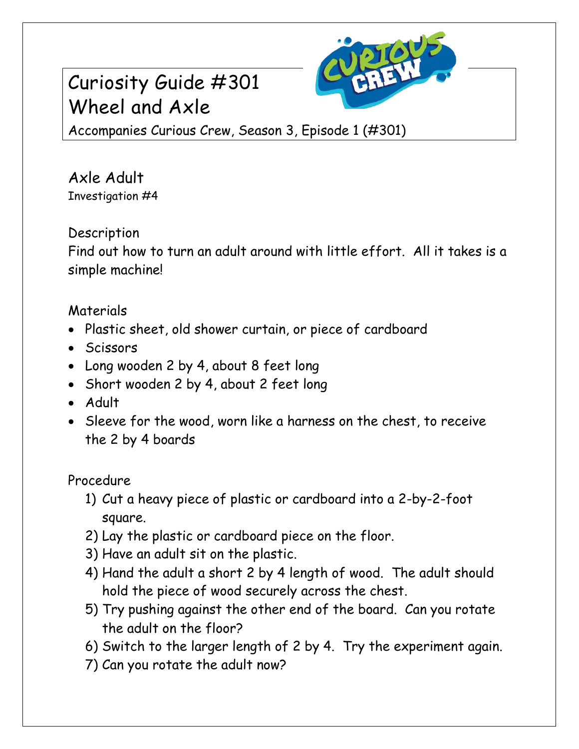# Curiosity Guide #301 Wheel and Axle



Accompanies Curious Crew, Season 3, Episode 1 (#301)

Axle Adult Investigation #4

### **Description**

Find out how to turn an adult around with little effort. All it takes is a simple machine!

## Materials

- Plastic sheet, old shower curtain, or piece of cardboard
- Scissors
- Long wooden 2 by 4, about 8 feet long
- Short wooden 2 by 4, about 2 feet long
- Adult
- Sleeve for the wood, worn like a harness on the chest, to receive the 2 by 4 boards

Procedure

- 1) Cut a heavy piece of plastic or cardboard into a 2-by-2-foot square.
- 2) Lay the plastic or cardboard piece on the floor.
- 3) Have an adult sit on the plastic.
- 4) Hand the adult a short 2 by 4 length of wood. The adult should hold the piece of wood securely across the chest.
- 5) Try pushing against the other end of the board. Can you rotate the adult on the floor?
- 6) Switch to the larger length of 2 by 4. Try the experiment again.
- 7) Can you rotate the adult now?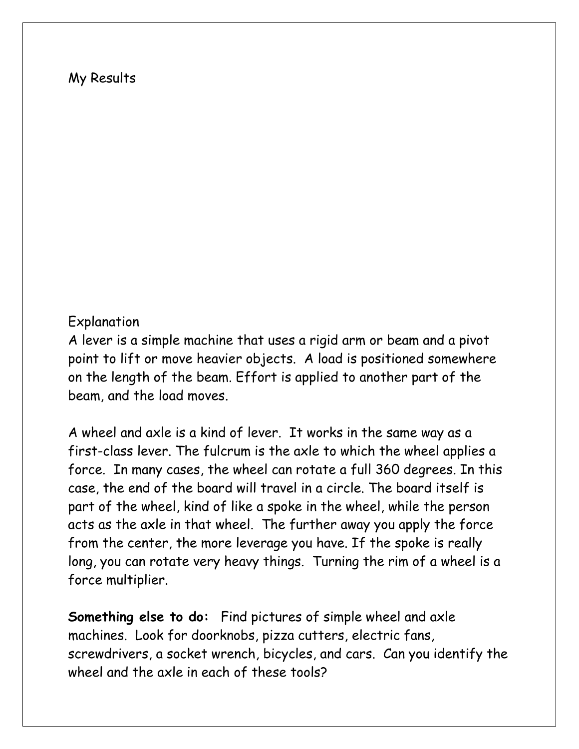#### My Results

#### Explanation

A lever is a simple machine that uses a rigid arm or beam and a pivot point to lift or move heavier objects. A load is positioned somewhere on the length of the beam. Effort is applied to another part of the beam, and the load moves.

A wheel and axle is a kind of lever. It works in the same way as a first-class lever. The fulcrum is the axle to which the wheel applies a force. In many cases, the wheel can rotate a full 360 degrees. In this case, the end of the board will travel in a circle. The board itself is part of the wheel, kind of like a spoke in the wheel, while the person acts as the axle in that wheel. The further away you apply the force from the center, the more leverage you have. If the spoke is really long, you can rotate very heavy things. Turning the rim of a wheel is a force multiplier.

**Something else to do:** Find pictures of simple wheel and axle machines. Look for doorknobs, pizza cutters, electric fans, screwdrivers, a socket wrench, bicycles, and cars. Can you identify the wheel and the axle in each of these tools?